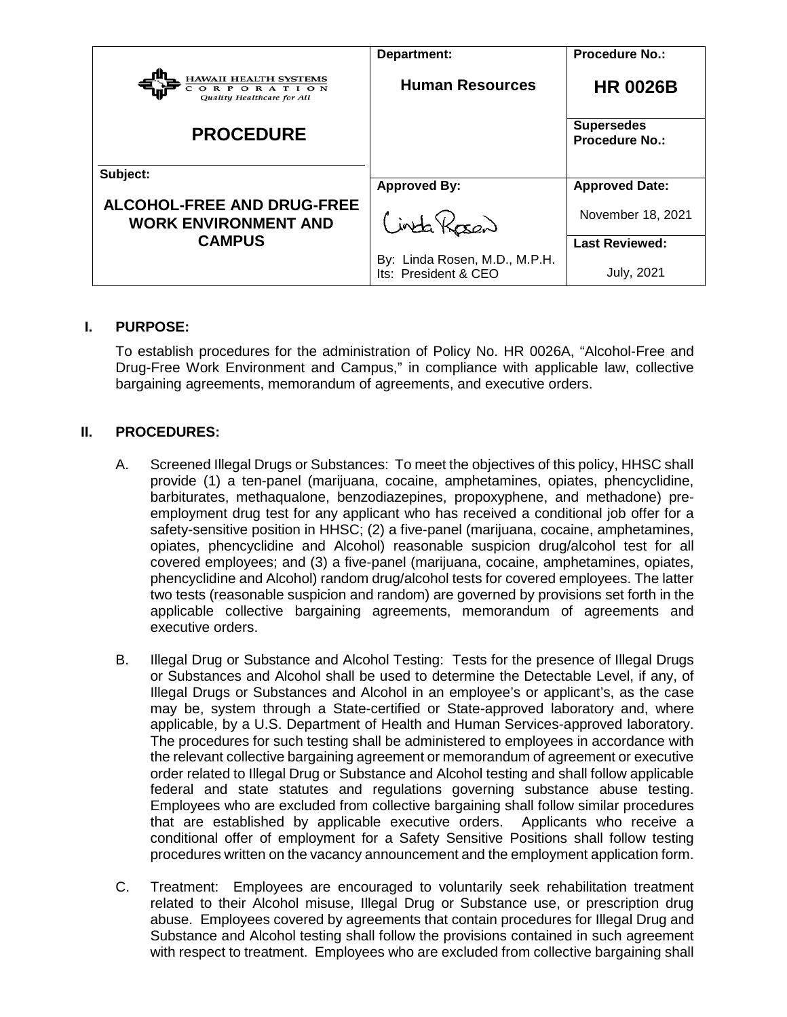|                                                                          | Department:                                           | <b>Procedure No.:</b>                      |
|--------------------------------------------------------------------------|-------------------------------------------------------|--------------------------------------------|
| <b>HAWAII HEALTH SYSTEMS</b><br>ORPORATION<br>Quality Healthcare for All | <b>Human Resources</b>                                | <b>HR 0026B</b>                            |
| <b>PROCEDURE</b>                                                         |                                                       | <b>Supersedes</b><br><b>Procedure No.:</b> |
| Subject:                                                                 |                                                       |                                            |
|                                                                          | <b>Approved By:</b>                                   | <b>Approved Date:</b>                      |
| <b>ALCOHOL-FREE AND DRUG-FREE</b><br><b>WORK ENVIRONMENT AND</b>         | Cinta Rosen                                           | November 18, 2021                          |
| <b>CAMPUS</b>                                                            |                                                       | <b>Last Reviewed:</b>                      |
|                                                                          | By: Linda Rosen, M.D., M.P.H.<br>Its: President & CEO | July, 2021                                 |

## **I. PURPOSE:**

To establish procedures for the administration of Policy No. HR 0026A, "Alcohol-Free and Drug-Free Work Environment and Campus," in compliance with applicable law, collective bargaining agreements, memorandum of agreements, and executive orders.

## **II. PROCEDURES:**

- A. Screened Illegal Drugs or Substances: To meet the objectives of this policy, HHSC shall provide (1) a ten-panel (marijuana, cocaine, amphetamines, opiates, phencyclidine, barbiturates, methaqualone, benzodiazepines, propoxyphene, and methadone) preemployment drug test for any applicant who has received a conditional job offer for a safety-sensitive position in HHSC; (2) a five-panel (marijuana, cocaine, amphetamines, opiates, phencyclidine and Alcohol) reasonable suspicion drug/alcohol test for all covered employees; and (3) a five-panel (marijuana, cocaine, amphetamines, opiates, phencyclidine and Alcohol) random drug/alcohol tests for covered employees. The latter two tests (reasonable suspicion and random) are governed by provisions set forth in the applicable collective bargaining agreements, memorandum of agreements and executive orders.
- B. Illegal Drug or Substance and Alcohol Testing: Tests for the presence of Illegal Drugs or Substances and Alcohol shall be used to determine the Detectable Level, if any, of Illegal Drugs or Substances and Alcohol in an employee's or applicant's, as the case may be, system through a State-certified or State-approved laboratory and, where applicable, by a U.S. Department of Health and Human Services-approved laboratory. The procedures for such testing shall be administered to employees in accordance with the relevant collective bargaining agreement or memorandum of agreement or executive order related to Illegal Drug or Substance and Alcohol testing and shall follow applicable federal and state statutes and regulations governing substance abuse testing. Employees who are excluded from collective bargaining shall follow similar procedures that are established by applicable executive orders. Applicants who receive a conditional offer of employment for a Safety Sensitive Positions shall follow testing procedures written on the vacancy announcement and the employment application form.
- C. Treatment: Employees are encouraged to voluntarily seek rehabilitation treatment related to their Alcohol misuse, Illegal Drug or Substance use, or prescription drug abuse. Employees covered by agreements that contain procedures for Illegal Drug and Substance and Alcohol testing shall follow the provisions contained in such agreement with respect to treatment. Employees who are excluded from collective bargaining shall